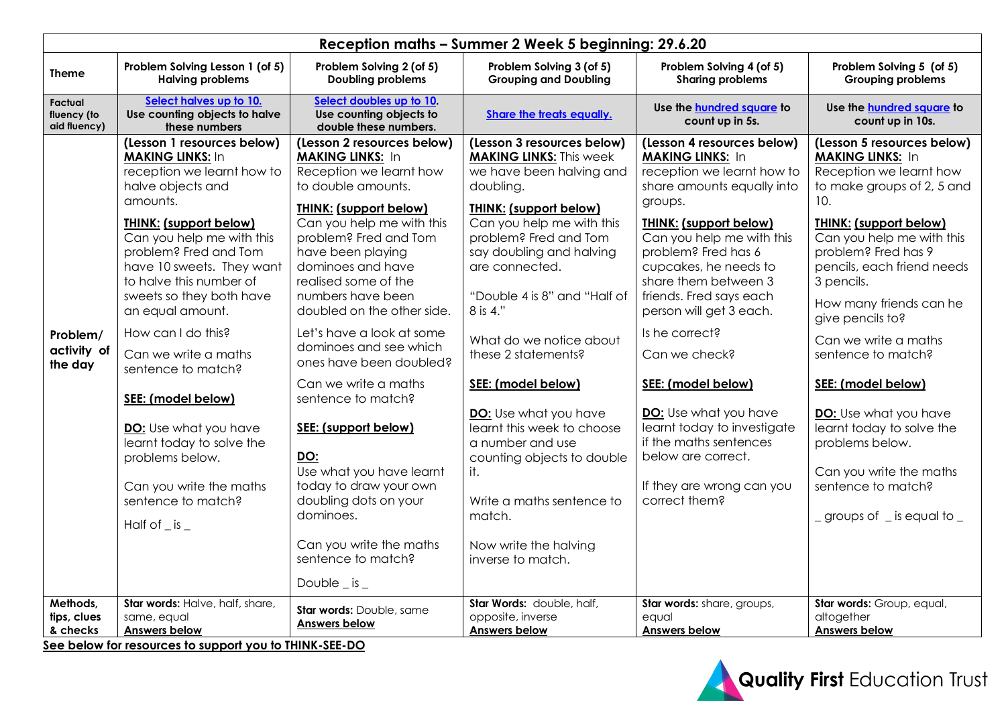| Reception maths - Summer 2 Week 5 beginning: 29.6.20 |                                                                                                                                                                                                                                                                                                                                                                                                                                                                                                                                                                 |                                                                                                                                                                                                                                                                                                                                                                                                                                                                                                                                                                                                                                                       |                                                                                                                                                                                                                                                                                                                                                                                                                                                                                                                                                                     |                                                                                                                                                                                                                                                                                                                                                                                                                                                                                                                                         |                                                                                                                                                                                                                                                                                                                                                                                                                                                                                                                                                    |  |  |  |  |
|------------------------------------------------------|-----------------------------------------------------------------------------------------------------------------------------------------------------------------------------------------------------------------------------------------------------------------------------------------------------------------------------------------------------------------------------------------------------------------------------------------------------------------------------------------------------------------------------------------------------------------|-------------------------------------------------------------------------------------------------------------------------------------------------------------------------------------------------------------------------------------------------------------------------------------------------------------------------------------------------------------------------------------------------------------------------------------------------------------------------------------------------------------------------------------------------------------------------------------------------------------------------------------------------------|---------------------------------------------------------------------------------------------------------------------------------------------------------------------------------------------------------------------------------------------------------------------------------------------------------------------------------------------------------------------------------------------------------------------------------------------------------------------------------------------------------------------------------------------------------------------|-----------------------------------------------------------------------------------------------------------------------------------------------------------------------------------------------------------------------------------------------------------------------------------------------------------------------------------------------------------------------------------------------------------------------------------------------------------------------------------------------------------------------------------------|----------------------------------------------------------------------------------------------------------------------------------------------------------------------------------------------------------------------------------------------------------------------------------------------------------------------------------------------------------------------------------------------------------------------------------------------------------------------------------------------------------------------------------------------------|--|--|--|--|
| <b>Theme</b>                                         | Problem Solving Lesson 1 (of 5)<br><b>Halving problems</b>                                                                                                                                                                                                                                                                                                                                                                                                                                                                                                      | Problem Solving 2 (of 5)<br><b>Doubling problems</b>                                                                                                                                                                                                                                                                                                                                                                                                                                                                                                                                                                                                  | Problem Solving 3 (of 5)<br><b>Grouping and Doubling</b>                                                                                                                                                                                                                                                                                                                                                                                                                                                                                                            | Problem Solving 4 (of 5)<br><b>Sharing problems</b>                                                                                                                                                                                                                                                                                                                                                                                                                                                                                     | Problem Solving 5 (of 5)<br>Grouping problems                                                                                                                                                                                                                                                                                                                                                                                                                                                                                                      |  |  |  |  |
| Factual<br>fluency (to<br>aid fluency)               | Select halves up to 10.<br>Use counting objects to halve<br>these numbers                                                                                                                                                                                                                                                                                                                                                                                                                                                                                       | Select doubles up to 10.<br>Use counting objects to<br>double these numbers.                                                                                                                                                                                                                                                                                                                                                                                                                                                                                                                                                                          | <b>Share the treats equally.</b>                                                                                                                                                                                                                                                                                                                                                                                                                                                                                                                                    | Use the hundred square to<br>count up in 5s.                                                                                                                                                                                                                                                                                                                                                                                                                                                                                            | Use the <b>hundred</b> square to<br>count up in 10s.                                                                                                                                                                                                                                                                                                                                                                                                                                                                                               |  |  |  |  |
| Problem/<br>activity of<br>the day                   | (Lesson 1 resources below)<br><b>MAKING LINKS: In</b><br>reception we learnt how to<br>halve objects and<br>amounts.<br><b>THINK: (support below)</b><br>Can you help me with this<br>problem? Fred and Tom<br>have 10 sweets. They want<br>to halve this number of<br>sweets so they both have<br>an equal amount.<br>How can I do this?<br>Can we write a maths<br>sentence to match?<br>SEE: (model below)<br>DO: Use what you have<br>learnt today to solve the<br>problems below.<br>Can you write the maths<br>sentence to match?<br>Half of $\_$ is $\_$ | (Lesson 2 resources below)<br><b>MAKING LINKS: In</b><br>Reception we learnt how<br>to double amounts.<br><b>THINK: (support below)</b><br>Can you help me with this<br>problem? Fred and Tom<br>have been playing<br>dominoes and have<br>realised some of the<br>numbers have been<br>doubled on the other side.<br>Let's have a look at some<br>dominoes and see which<br>ones have been doubled?<br>Can we write a maths<br>sentence to match?<br>SEE: (support below)<br>DO:<br>Use what you have learnt<br>today to draw your own<br>doubling dots on your<br>dominoes.<br>Can you write the maths<br>sentence to match?<br>Double $\_$ is $\_$ | (Lesson 3 resources below)<br><b>MAKING LINKS: This week</b><br>we have been halving and<br>doubling.<br>THINK: (support below)<br>Can you help me with this<br>problem? Fred and Tom<br>say doubling and halving<br>are connected.<br>"Double 4 is 8" and "Half of<br>8 is 4."<br>What do we notice about<br>these 2 statements?<br>SEE: (model below)<br><b>DO:</b> Use what you have<br>learnt this week to choose<br>a number and use<br>counting objects to double<br>it.<br>Write a maths sentence to<br>match.<br>Now write the halving<br>inverse to match. | (Lesson 4 resources below)<br><b>MAKING LINKS: In</b><br>reception we learnt how to<br>share amounts equally into<br>groups.<br><b>THINK: (support below)</b><br>Can you help me with this<br>problem? Fred has 6<br>cupcakes, he needs to<br>share them between 3<br>friends. Fred says each<br>person will get 3 each.<br>Is he correct?<br>Can we check?<br>SEE: (model below)<br>DO: Use what you have<br>learnt today to investigate<br>if the maths sentences<br>below are correct.<br>If they are wrong can you<br>correct them? | (Lesson 5 resources below)<br><b>MAKING LINKS: In</b><br>Reception we learnt how<br>to make groups of 2, 5 and<br>10.<br><b>THINK: (support below)</b><br>Can you help me with this<br>problem? Fred has 9<br>pencils, each friend needs<br>3 pencils.<br>How many friends can he<br>give pencils to?<br>Can we write a maths<br>sentence to match?<br>SEE: (model below)<br><b>DO:</b> Use what you have<br>learnt today to solve the<br>problems below.<br>Can you write the maths<br>sentence to match?<br>$\_$ groups of $\_$ is equal to $\_$ |  |  |  |  |
| Methods,<br>tips, clues<br>& checks                  | Star words: Halve, half, share,<br>same, equal<br><b>Answers below</b><br>See below for resources to support you to THINK-SEE-DO                                                                                                                                                                                                                                                                                                                                                                                                                                | Star words: Double, same<br><b>Answers below</b>                                                                                                                                                                                                                                                                                                                                                                                                                                                                                                                                                                                                      | Star Words: double, half,<br>opposite, inverse<br><b>Answers below</b>                                                                                                                                                                                                                                                                                                                                                                                                                                                                                              | Star words: share, groups,<br>eaual<br><b>Answers below</b>                                                                                                                                                                                                                                                                                                                                                                                                                                                                             | Star words: Group, equal,<br>altogether<br><b>Answers below</b>                                                                                                                                                                                                                                                                                                                                                                                                                                                                                    |  |  |  |  |

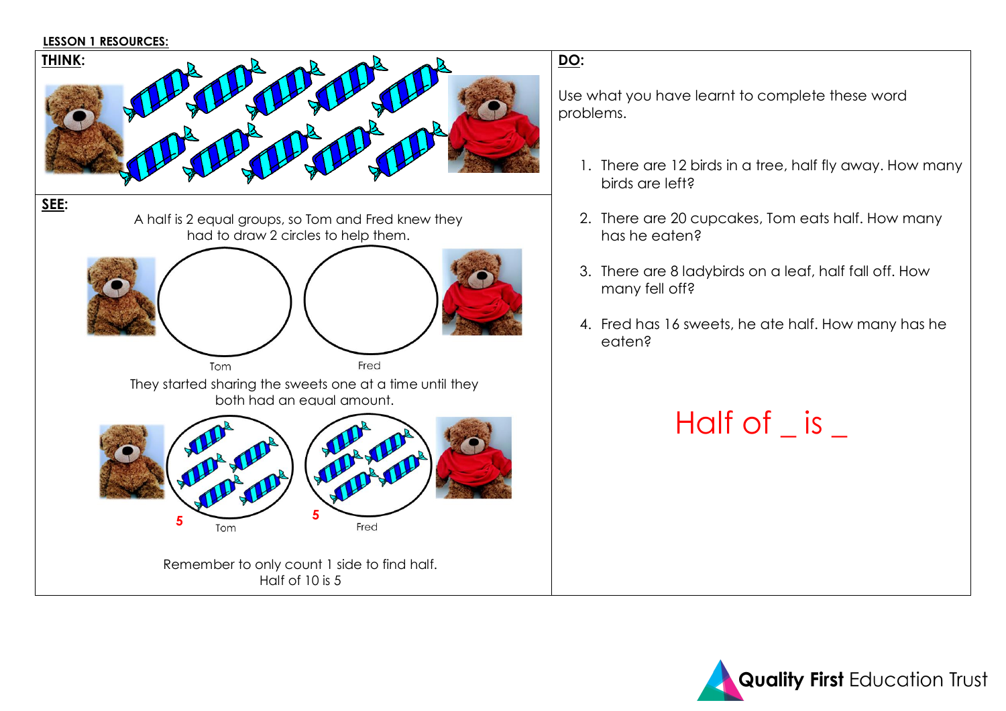#### **LESSON 1 RESOURCES:**



Use what you have learnt to complete these word problems.

- 1. There are 12 birds in a tree, half fly away. How many birds are left?
- 2. There are 20 cupcakes, Tom eats half. How many has he eaten?
- 3. There are 8 ladybirds on a leaf, half fall off. How many fell off?
- 4. Fred has 16 sweets, he ate half. How many has he eaten?

# Half of \_ is \_

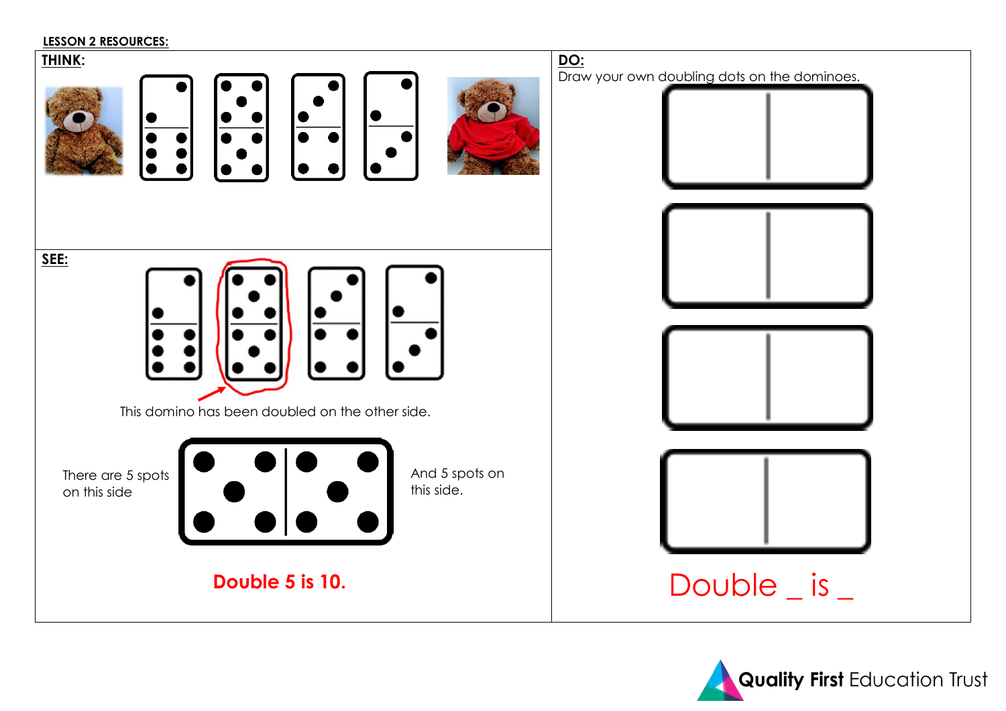#### **LESSON 2 RESOURCES:**



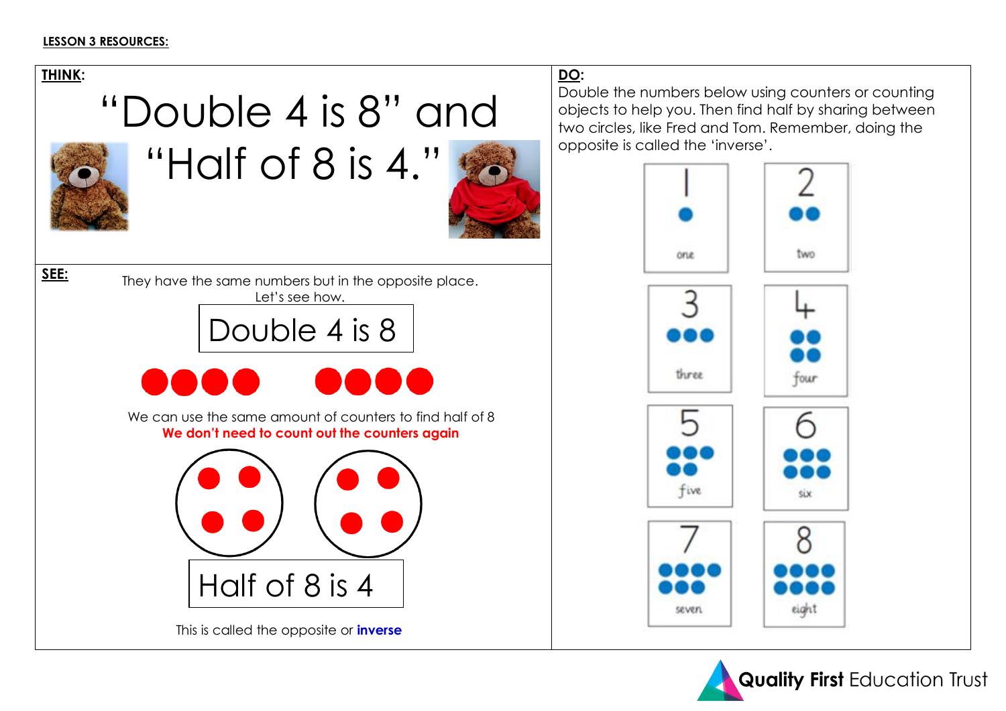#### **LESSON 3 RESOURCES:**



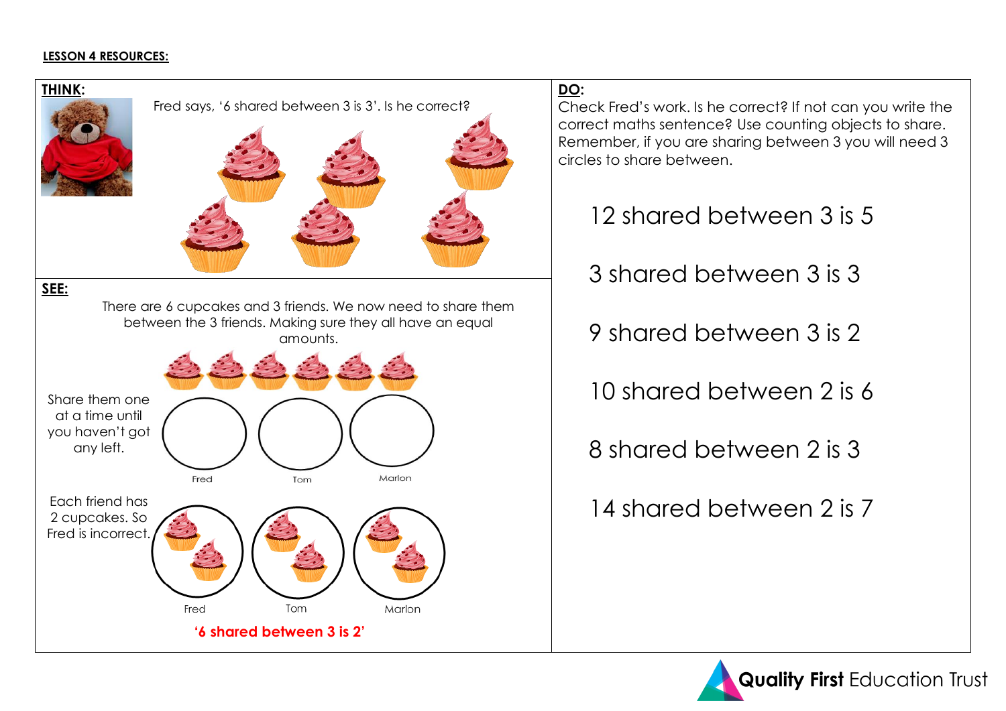### **LESSON 4 RESOURCES:**



Check Fred's work. Is he correct? If not can you write the correct maths sentence? Use counting objects to share. Remember, if you are sharing between 3 you will need 3

12 shared between 3 is 5

3 shared between 3 is 3

9 shared between 3 is 2

10 shared between 2 is 6

8 shared between 2 is 3

14 shared between 2 is 7

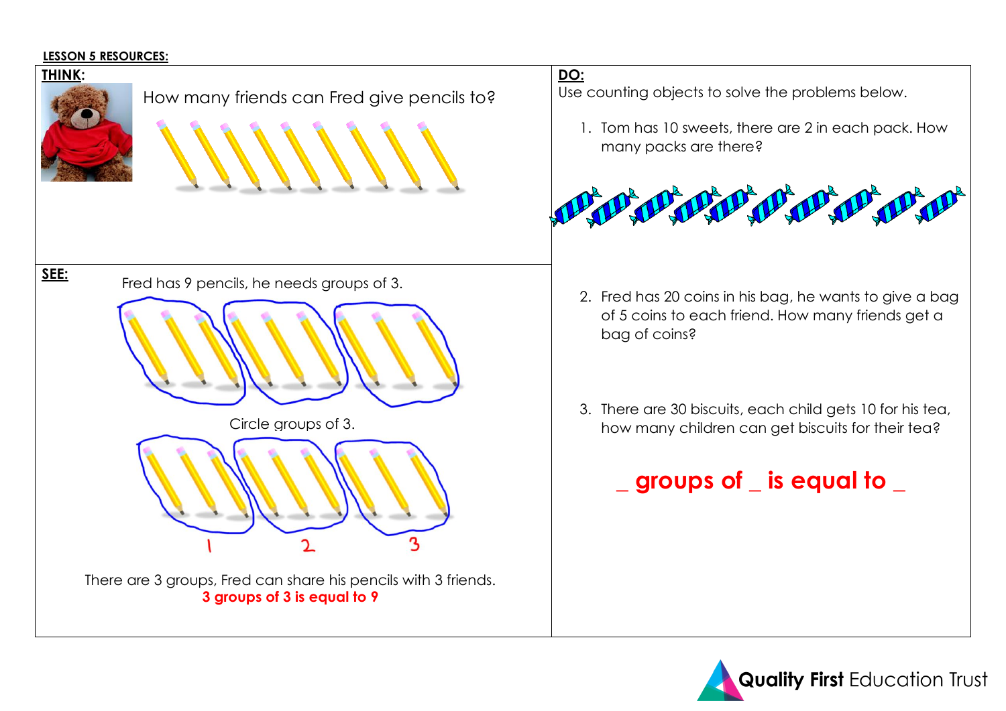#### **LESSON 5 RESOURCES:**